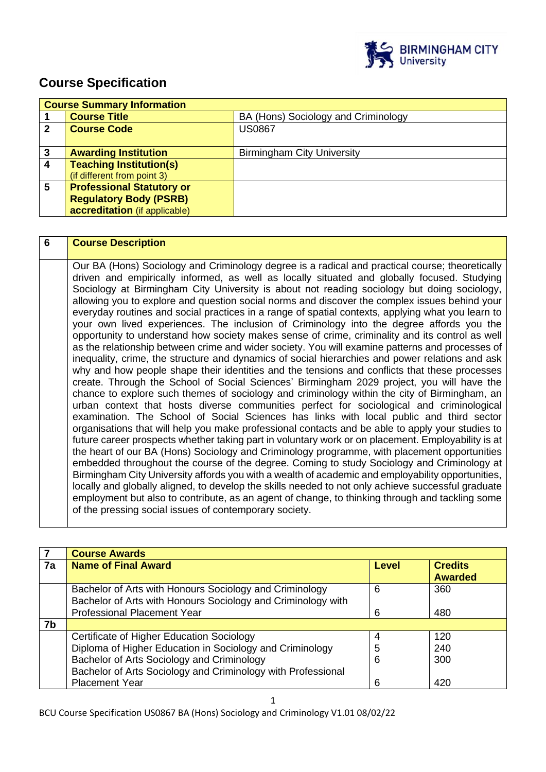

# **Course Specification**

|   | <b>Course Summary Information</b> |                                     |  |
|---|-----------------------------------|-------------------------------------|--|
|   | <b>Course Title</b>               | BA (Hons) Sociology and Criminology |  |
| 2 | <b>Course Code</b>                | <b>US0867</b>                       |  |
|   |                                   |                                     |  |
| 3 | <b>Awarding Institution</b>       | <b>Birmingham City University</b>   |  |
| 4 | <b>Teaching Institution(s)</b>    |                                     |  |
|   | (if different from point 3)       |                                     |  |
| 5 | <b>Professional Statutory or</b>  |                                     |  |
|   | <b>Regulatory Body (PSRB)</b>     |                                     |  |
|   | accreditation (if applicable)     |                                     |  |

| 6 | <b>Course Description</b>                                                                                                                                                                                                                                                                                                                                                                                                                                                                                                                                                                                                                                                                                                                                                                                                                                                                                                                                                                                                                                                                                                                                                                                                                                                                                                                                                                                                                                                                                                                                                                                                                                                                                                                                                                                                                                                                                                                                                                                                                                                                                                                                                     |
|---|-------------------------------------------------------------------------------------------------------------------------------------------------------------------------------------------------------------------------------------------------------------------------------------------------------------------------------------------------------------------------------------------------------------------------------------------------------------------------------------------------------------------------------------------------------------------------------------------------------------------------------------------------------------------------------------------------------------------------------------------------------------------------------------------------------------------------------------------------------------------------------------------------------------------------------------------------------------------------------------------------------------------------------------------------------------------------------------------------------------------------------------------------------------------------------------------------------------------------------------------------------------------------------------------------------------------------------------------------------------------------------------------------------------------------------------------------------------------------------------------------------------------------------------------------------------------------------------------------------------------------------------------------------------------------------------------------------------------------------------------------------------------------------------------------------------------------------------------------------------------------------------------------------------------------------------------------------------------------------------------------------------------------------------------------------------------------------------------------------------------------------------------------------------------------------|
|   | Our BA (Hons) Sociology and Criminology degree is a radical and practical course; theoretically<br>driven and empirically informed, as well as locally situated and globally focused. Studying<br>Sociology at Birmingham City University is about not reading sociology but doing sociology,<br>allowing you to explore and question social norms and discover the complex issues behind your<br>everyday routines and social practices in a range of spatial contexts, applying what you learn to<br>your own lived experiences. The inclusion of Criminology into the degree affords you the<br>opportunity to understand how society makes sense of crime, criminality and its control as well<br>as the relationship between crime and wider society. You will examine patterns and processes of<br>inequality, crime, the structure and dynamics of social hierarchies and power relations and ask<br>why and how people shape their identities and the tensions and conflicts that these processes<br>create. Through the School of Social Sciences' Birmingham 2029 project, you will have the<br>chance to explore such themes of sociology and criminology within the city of Birmingham, an<br>urban context that hosts diverse communities perfect for sociological and criminological<br>examination. The School of Social Sciences has links with local public and third sector<br>organisations that will help you make professional contacts and be able to apply your studies to<br>future career prospects whether taking part in voluntary work or on placement. Employability is at<br>the heart of our BA (Hons) Sociology and Criminology programme, with placement opportunities<br>embedded throughout the course of the degree. Coming to study Sociology and Criminology at<br>Birmingham City University affords you with a wealth of academic and employability opportunities,<br>locally and globally aligned, to develop the skills needed to not only achieve successful graduate<br>employment but also to contribute, as an agent of change, to thinking through and tackling some<br>of the pressing social issues of contemporary society. |

|    | <b>Course Awards</b>                                                                                                    |       |                                  |
|----|-------------------------------------------------------------------------------------------------------------------------|-------|----------------------------------|
| 7a | <b>Name of Final Award</b>                                                                                              | Level | <b>Credits</b><br><b>Awarded</b> |
|    | Bachelor of Arts with Honours Sociology and Criminology<br>Bachelor of Arts with Honours Sociology and Criminology with | 6     | 360                              |
|    | <b>Professional Placement Year</b>                                                                                      | 6     | 480                              |
| 7b |                                                                                                                         |       |                                  |
|    | Certificate of Higher Education Sociology                                                                               | 4     | 120                              |
|    | Diploma of Higher Education in Sociology and Criminology                                                                | 5     | 240                              |
|    | Bachelor of Arts Sociology and Criminology                                                                              | 6     | 300                              |
|    | Bachelor of Arts Sociology and Criminology with Professional                                                            |       |                                  |
|    | <b>Placement Year</b>                                                                                                   | 6     | 420                              |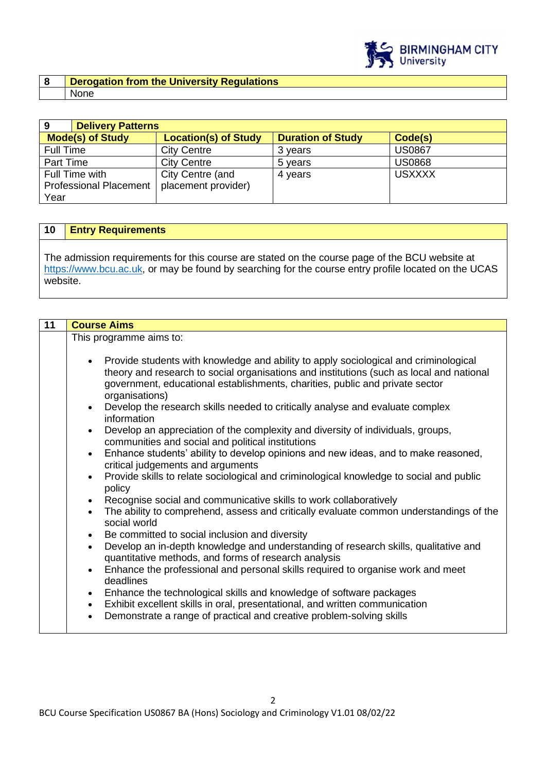

### **8 Derogation from the University Regulations**  None

| 9                             | <b>Delivery Patterns</b> |                             |                          |               |
|-------------------------------|--------------------------|-----------------------------|--------------------------|---------------|
|                               | <b>Mode(s) of Study</b>  | <b>Location(s) of Study</b> | <b>Duration of Study</b> | Code(s)       |
| Full Time                     |                          | <b>City Centre</b>          | 3 years                  | <b>US0867</b> |
| Part Time                     |                          | <b>City Centre</b>          | 5 years                  | <b>US0868</b> |
| Full Time with                |                          | City Centre (and            | 4 years                  | <b>USXXXX</b> |
| <b>Professional Placement</b> |                          | placement provider)         |                          |               |
| Year                          |                          |                             |                          |               |

### **10 Entry Requirements**

The admission requirements for this course are stated on the course page of the BCU website at [https://www.bcu.ac.uk,](https://www.bcu.ac.uk/) or may be found by searching for the course entry profile located on the UCAS website.

| 11 | <b>Course Aims</b>                                                                                                                                                                                                                                                                                                                                                                                                                                                                                                                                                                                                                                                                                                                                                                                                                                                                                            |
|----|---------------------------------------------------------------------------------------------------------------------------------------------------------------------------------------------------------------------------------------------------------------------------------------------------------------------------------------------------------------------------------------------------------------------------------------------------------------------------------------------------------------------------------------------------------------------------------------------------------------------------------------------------------------------------------------------------------------------------------------------------------------------------------------------------------------------------------------------------------------------------------------------------------------|
|    | This programme aims to:                                                                                                                                                                                                                                                                                                                                                                                                                                                                                                                                                                                                                                                                                                                                                                                                                                                                                       |
|    | Provide students with knowledge and ability to apply sociological and criminological<br>$\bullet$<br>theory and research to social organisations and institutions (such as local and national<br>government, educational establishments, charities, public and private sector<br>organisations)<br>Develop the research skills needed to critically analyse and evaluate complex<br>$\bullet$<br>information<br>Develop an appreciation of the complexity and diversity of individuals, groups,<br>$\bullet$<br>communities and social and political institutions<br>Enhance students' ability to develop opinions and new ideas, and to make reasoned,<br>$\bullet$<br>critical judgements and arguments<br>Provide skills to relate sociological and criminological knowledge to social and public<br>$\bullet$<br>policy<br>Recognise social and communicative skills to work collaboratively<br>$\bullet$ |
|    | The ability to comprehend, assess and critically evaluate common understandings of the<br>$\bullet$<br>social world<br>Be committed to social inclusion and diversity<br>$\bullet$<br>Develop an in-depth knowledge and understanding of research skills, qualitative and<br>$\bullet$<br>quantitative methods, and forms of research analysis<br>Enhance the professional and personal skills required to organise work and meet<br>$\bullet$<br>deadlines<br>Enhance the technological skills and knowledge of software packages<br>$\bullet$<br>Exhibit excellent skills in oral, presentational, and written communication<br>$\bullet$<br>Demonstrate a range of practical and creative problem-solving skills<br>$\bullet$                                                                                                                                                                              |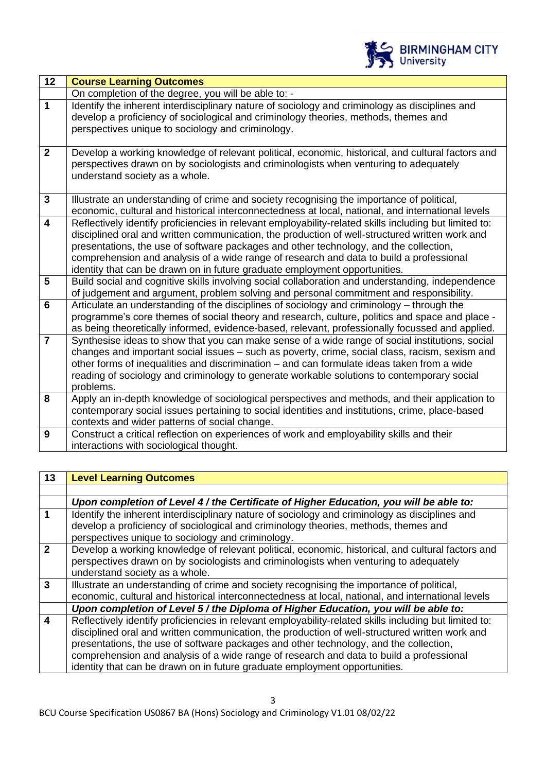

| 12                      | <b>Course Learning Outcomes</b>                                                                                                                                                         |
|-------------------------|-----------------------------------------------------------------------------------------------------------------------------------------------------------------------------------------|
|                         | On completion of the degree, you will be able to: -                                                                                                                                     |
| $\mathbf{1}$            | Identify the inherent interdisciplinary nature of sociology and criminology as disciplines and<br>develop a proficiency of sociological and criminology theories, methods, themes and   |
|                         | perspectives unique to sociology and criminology.                                                                                                                                       |
| $\overline{2}$          | Develop a working knowledge of relevant political, economic, historical, and cultural factors and                                                                                       |
|                         | perspectives drawn on by sociologists and criminologists when venturing to adequately                                                                                                   |
|                         | understand society as a whole.                                                                                                                                                          |
| $\overline{3}$          | Illustrate an understanding of crime and society recognising the importance of political,                                                                                               |
|                         | economic, cultural and historical interconnectedness at local, national, and international levels                                                                                       |
| $\overline{\mathbf{4}}$ | Reflectively identify proficiencies in relevant employability-related skills including but limited to:                                                                                  |
|                         | disciplined oral and written communication, the production of well-structured written work and<br>presentations, the use of software packages and other technology, and the collection, |
|                         | comprehension and analysis of a wide range of research and data to build a professional                                                                                                 |
|                         | identity that can be drawn on in future graduate employment opportunities.                                                                                                              |
| 5                       | Build social and cognitive skills involving social collaboration and understanding, independence                                                                                        |
|                         | of judgement and argument, problem solving and personal commitment and responsibility.                                                                                                  |
| $6\phantom{1}$          | Articulate an understanding of the disciplines of sociology and criminology – through the                                                                                               |
|                         | programme's core themes of social theory and research, culture, politics and space and place -                                                                                          |
|                         | as being theoretically informed, evidence-based, relevant, professionally focussed and applied.                                                                                         |
| $\overline{7}$          | Synthesise ideas to show that you can make sense of a wide range of social institutions, social                                                                                         |
|                         | changes and important social issues - such as poverty, crime, social class, racism, sexism and                                                                                          |
|                         | other forms of inequalities and discrimination – and can formulate ideas taken from a wide                                                                                              |
|                         | reading of sociology and criminology to generate workable solutions to contemporary social                                                                                              |
|                         | problems.                                                                                                                                                                               |
| 8                       | Apply an in-depth knowledge of sociological perspectives and methods, and their application to                                                                                          |
|                         | contemporary social issues pertaining to social identities and institutions, crime, place-based                                                                                         |
|                         | contexts and wider patterns of social change.                                                                                                                                           |
| 9                       | Construct a critical reflection on experiences of work and employability skills and their                                                                                               |
|                         | interactions with sociological thought.                                                                                                                                                 |

| 13               | <b>Level Learning Outcomes</b>                                                                                                           |  |
|------------------|------------------------------------------------------------------------------------------------------------------------------------------|--|
|                  |                                                                                                                                          |  |
|                  | Upon completion of Level 4 / the Certificate of Higher Education, you will be able to:                                                   |  |
| 1                | Identify the inherent interdisciplinary nature of sociology and criminology as disciplines and                                           |  |
|                  | develop a proficiency of sociological and criminology theories, methods, themes and<br>perspectives unique to sociology and criminology. |  |
| $\mathbf{2}$     | Develop a working knowledge of relevant political, economic, historical, and cultural factors and                                        |  |
|                  | perspectives drawn on by sociologists and criminologists when venturing to adequately<br>understand society as a whole.                  |  |
| 3                | Illustrate an understanding of crime and society recognising the importance of political,                                                |  |
|                  | economic, cultural and historical interconnectedness at local, national, and international levels                                        |  |
|                  | Upon completion of Level 5 / the Diploma of Higher Education, you will be able to:                                                       |  |
| $\boldsymbol{4}$ | Reflectively identify proficiencies in relevant employability-related skills including but limited to:                                   |  |
|                  | disciplined oral and written communication, the production of well-structured written work and                                           |  |
|                  | presentations, the use of software packages and other technology, and the collection,                                                    |  |
|                  | comprehension and analysis of a wide range of research and data to build a professional                                                  |  |
|                  | identity that can be drawn on in future graduate employment opportunities.                                                               |  |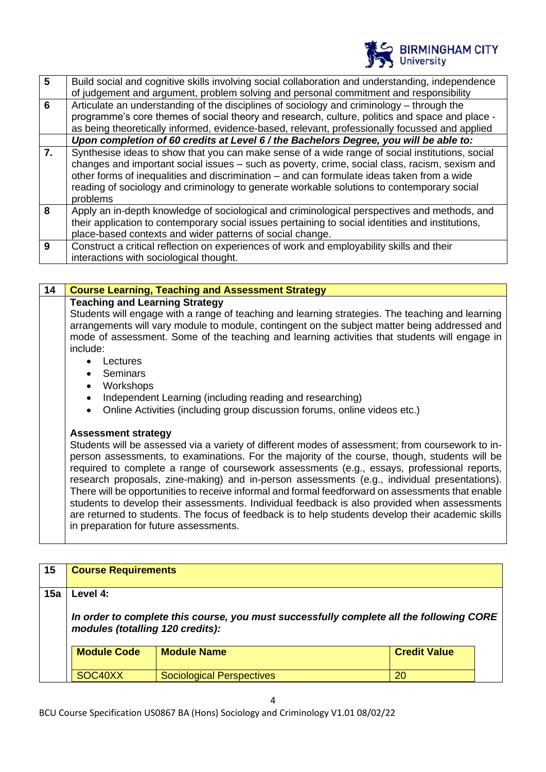

| $5\phantom{1}$   | Build social and cognitive skills involving social collaboration and understanding, independence  |
|------------------|---------------------------------------------------------------------------------------------------|
|                  | of judgement and argument, problem solving and personal commitment and responsibility             |
| 6                | Articulate an understanding of the disciplines of sociology and criminology – through the         |
|                  | programme's core themes of social theory and research, culture, politics and space and place -    |
|                  | as being theoretically informed, evidence-based, relevant, professionally focussed and applied    |
|                  | Upon completion of 60 credits at Level 6 / the Bachelors Degree, you will be able to:             |
| $\overline{7}$ . | Synthesise ideas to show that you can make sense of a wide range of social institutions, social   |
|                  | changes and important social issues - such as poverty, crime, social class, racism, sexism and    |
|                  | other forms of inequalities and discrimination – and can formulate ideas taken from a wide        |
|                  | reading of sociology and criminology to generate workable solutions to contemporary social        |
|                  | problems                                                                                          |
| 8                | Apply an in-depth knowledge of sociological and criminological perspectives and methods, and      |
|                  | their application to contemporary social issues pertaining to social identities and institutions, |
|                  | place-based contexts and wider patterns of social change.                                         |
| 9                | Construct a critical reflection on experiences of work and employability skills and their         |
|                  | interactions with sociological thought.                                                           |

| 14 | <b>Course Learning, Teaching and Assessment Strategy</b>                                         |
|----|--------------------------------------------------------------------------------------------------|
|    | <b>Teaching and Learning Strategy</b>                                                            |
|    | Students will engage with a range of teaching and learning strategies. The teaching and learning |
|    | arrangements will vary module to module, contingent on the subject matter being addressed and    |
|    | mode of assessment. Some of the teaching and learning activities that students will engage in    |
|    | include:                                                                                         |
|    | _ectures<br>$\bullet$                                                                            |
|    | Seminars                                                                                         |

- **Workshops**
- Independent Learning (including reading and researching)
- Online Activities (including group discussion forums, online videos etc.)

#### **Assessment strategy**

Students will be assessed via a variety of different modes of assessment; from coursework to inperson assessments, to examinations. For the majority of the course, though, students will be required to complete a range of coursework assessments (e.g., essays, professional reports, research proposals, zine-making) and in-person assessments (e.g., individual presentations). There will be opportunities to receive informal and formal feedforward on assessments that enable students to develop their assessments. Individual feedback is also provided when assessments are returned to students. The focus of feedback is to help students develop their academic skills in preparation for future assessments.

| 15  | <b>Course Requirements</b>                                                                                                  |                                  |                     |  |
|-----|-----------------------------------------------------------------------------------------------------------------------------|----------------------------------|---------------------|--|
| 15a | Level 4:                                                                                                                    |                                  |                     |  |
|     | In order to complete this course, you must successfully complete all the following CORE<br>modules (totalling 120 credits): |                                  |                     |  |
|     | <b>Module Code</b><br><b>Module Name</b>                                                                                    |                                  | <b>Credit Value</b> |  |
|     | SOC40XX                                                                                                                     | <b>Sociological Perspectives</b> | 20                  |  |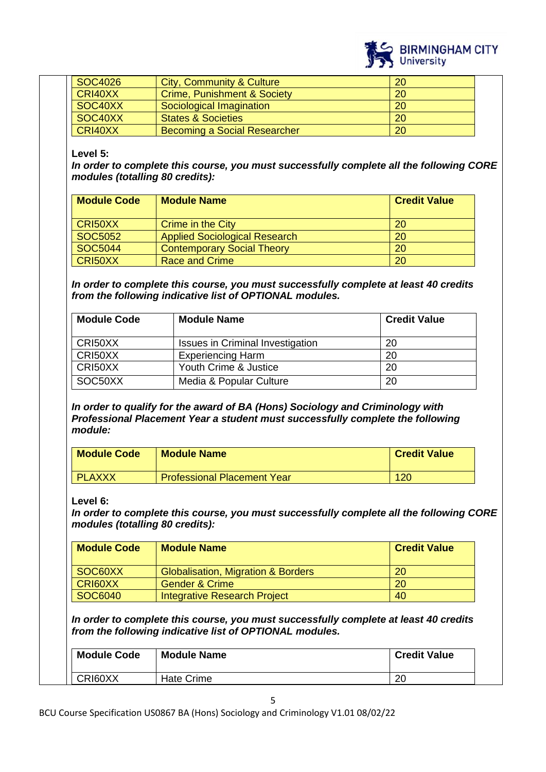

| SOC4026 | City, Community & Culture              | 20 |
|---------|----------------------------------------|----|
| CRI40XX | <b>Crime, Punishment &amp; Society</b> | 20 |
| SOC40XX | Sociological Imagination               | 20 |
| SOC40XX | <b>States &amp; Societies</b>          | 20 |
| CRI40XX | Becoming a Social Researcher           | 20 |

### **Level 5:**

*In order to complete this course, you must successfully complete all the following CORE modules (totalling 80 credits):*

| <b>Module Code</b> | <b>Module Name</b>                   | <b>Credit Value</b> |
|--------------------|--------------------------------------|---------------------|
| CRI50XX            | Crime in the City                    | <b>20</b>           |
| SOC5052            | <b>Applied Sociological Research</b> | 20                  |
| SOC5044            | <b>Contemporary Social Theory</b>    | 20                  |
| CRI50XX            | <b>Race and Crime</b>                | 20                  |

*In order to complete this course, you must successfully complete at least 40 credits from the following indicative list of OPTIONAL modules.* 

| <b>Module Code</b> | <b>Module Name</b>                      | <b>Credit Value</b> |
|--------------------|-----------------------------------------|---------------------|
| CRI50XX            | <b>Issues in Criminal Investigation</b> | 20                  |
| CRI50XX            | <b>Experiencing Harm</b>                | 20                  |
| CRI50XX            | Youth Crime & Justice                   | 20                  |
| SOC50XX            | Media & Popular Culture                 | 20                  |

*In order to qualify for the award of BA (Hons) Sociology and Criminology with Professional Placement Year a student must successfully complete the following module:*

| <b>Module Code</b> | <b>Module Name</b>                 | <b>Credit Value</b> |
|--------------------|------------------------------------|---------------------|
| <b>PLAXXX</b>      | <b>Professional Placement Year</b> | 120                 |

### **Level 6:**

*In order to complete this course, you must successfully complete all the following CORE modules (totalling 80 credits):*

| <b>Module Code</b> | <b>Module Name</b>                            | <b>Credit Value</b> |
|--------------------|-----------------------------------------------|---------------------|
| SOC60XX            | <b>Globalisation, Migration &amp; Borders</b> | 20                  |
| CRI60XX            | <b>Gender &amp; Crime</b>                     | <b>20</b>           |
| <b>SOC6040</b>     | Integrative Research Project                  | 40                  |

*In order to complete this course, you must successfully complete at least 40 credits from the following indicative list of OPTIONAL modules.*

| <b>Module Code</b> | <b>Module Name</b> | <b>Credit Value</b> |
|--------------------|--------------------|---------------------|
| CRI60XX            | Hate Crime         | റ<br>۷J             |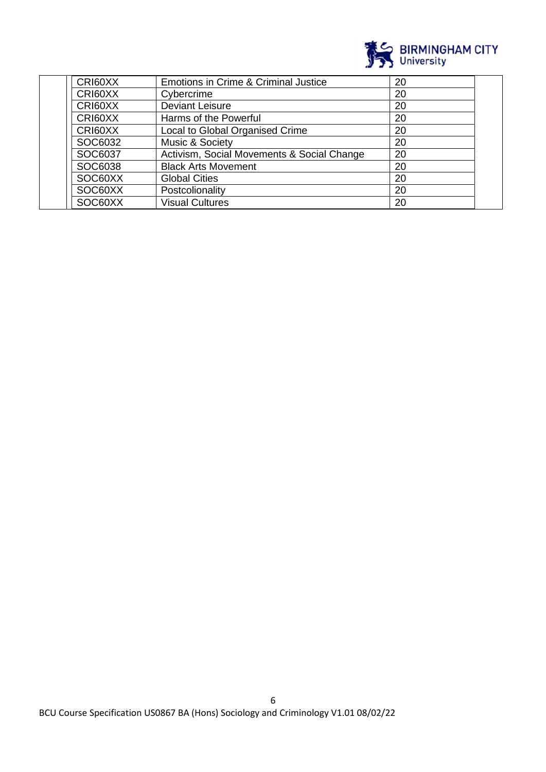

| CRI60XX | Emotions in Crime & Criminal Justice       | 20 |  |
|---------|--------------------------------------------|----|--|
| CRI60XX | Cybercrime                                 | 20 |  |
| CRI60XX | <b>Deviant Leisure</b>                     | 20 |  |
| CRI60XX | Harms of the Powerful                      | 20 |  |
| CRI60XX | Local to Global Organised Crime            | 20 |  |
| SOC6032 | Music & Society                            | 20 |  |
| SOC6037 | Activism, Social Movements & Social Change | 20 |  |
| SOC6038 | <b>Black Arts Movement</b>                 | 20 |  |
| SOC60XX | <b>Global Cities</b>                       | 20 |  |
| SOC60XX | Postcolionality                            | 20 |  |
| SOC60XX | <b>Visual Cultures</b>                     | 20 |  |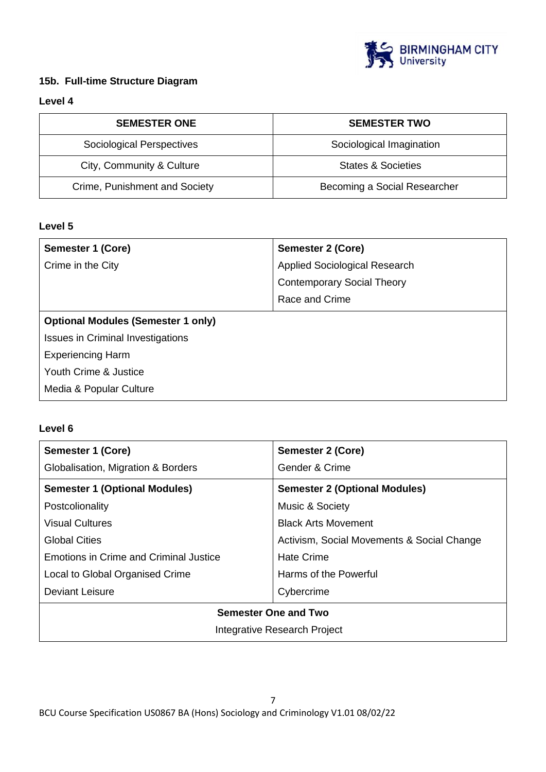

### **15b. Full-time Structure Diagram**

### **Level 4**

| <b>SEMESTER ONE</b>           | <b>SEMESTER TWO</b>          |
|-------------------------------|------------------------------|
| Sociological Perspectives     | Sociological Imagination     |
| City, Community & Culture     | States & Societies           |
| Crime, Punishment and Society | Becoming a Social Researcher |

### **Level 5**

| Applied Sociological Research             |  |  |
|-------------------------------------------|--|--|
|                                           |  |  |
| <b>Contemporary Social Theory</b>         |  |  |
| Race and Crime                            |  |  |
| <b>Optional Modules (Semester 1 only)</b> |  |  |
| <b>Issues in Criminal Investigations</b>  |  |  |
| <b>Experiencing Harm</b>                  |  |  |
| Youth Crime & Justice                     |  |  |
|                                           |  |  |
|                                           |  |  |

### **Level 6**

| Semester 1 (Core)                             | <b>Semester 2 (Core)</b>                   |  |
|-----------------------------------------------|--------------------------------------------|--|
| Globalisation, Migration & Borders            | Gender & Crime                             |  |
| <b>Semester 1 (Optional Modules)</b>          | <b>Semester 2 (Optional Modules)</b>       |  |
| Postcolionality                               | Music & Society                            |  |
| Visual Cultures                               | <b>Black Arts Movement</b>                 |  |
| Global Cities                                 | Activism, Social Movements & Social Change |  |
| <b>Emotions in Crime and Criminal Justice</b> | <b>Hate Crime</b>                          |  |
| Local to Global Organised Crime               | Harms of the Powerful                      |  |
| Deviant Leisure                               | Cybercrime                                 |  |
| <b>Semester One and Two</b>                   |                                            |  |
| Integrative Research Project                  |                                            |  |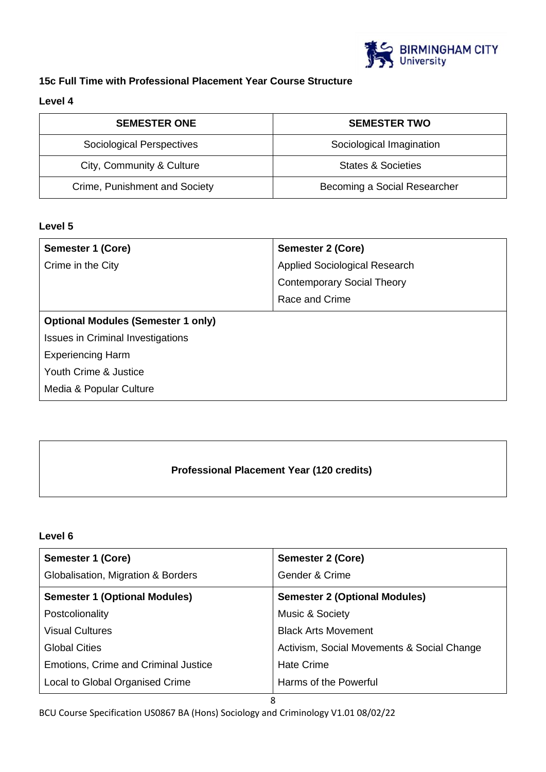

# **15c Full Time with Professional Placement Year Course Structure**

### **Level 4**

| <b>SEMESTER ONE</b>           | <b>SEMESTER TWO</b>          |
|-------------------------------|------------------------------|
| Sociological Perspectives     | Sociological Imagination     |
| City, Community & Culture     | States & Societies           |
| Crime, Punishment and Society | Becoming a Social Researcher |

### **Level 5**

| Semester 1 (Core)                         | <b>Semester 2 (Core)</b>             |  |
|-------------------------------------------|--------------------------------------|--|
| Crime in the City                         | <b>Applied Sociological Research</b> |  |
|                                           | <b>Contemporary Social Theory</b>    |  |
|                                           | Race and Crime                       |  |
| <b>Optional Modules (Semester 1 only)</b> |                                      |  |
| <b>Issues in Criminal Investigations</b>  |                                      |  |
| <b>Experiencing Harm</b>                  |                                      |  |
| Youth Crime & Justice                     |                                      |  |
| Media & Popular Culture                   |                                      |  |

# **Professional Placement Year (120 credits)**

### **Level 6**

| Semester 1 (Core)                    | <b>Semester 2 (Core)</b>                   |  |
|--------------------------------------|--------------------------------------------|--|
| Globalisation, Migration & Borders   | Gender & Crime                             |  |
| <b>Semester 1 (Optional Modules)</b> | <b>Semester 2 (Optional Modules)</b>       |  |
| Postcolionality                      | Music & Society                            |  |
| <b>Visual Cultures</b>               | <b>Black Arts Movement</b>                 |  |
| <b>Global Cities</b>                 | Activism, Social Movements & Social Change |  |
| Emotions, Crime and Criminal Justice | <b>Hate Crime</b>                          |  |
| Local to Global Organised Crime      | Harms of the Powerful                      |  |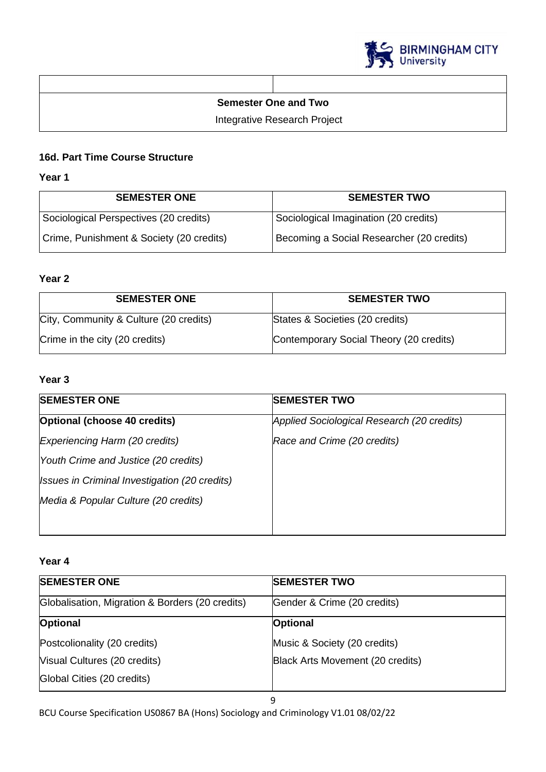

### **Semester One and Two**

Integrative Research Project

# **16d. Part Time Course Structure**

### **Year 1**

| <b>SEMESTER ONE</b>                      | <b>SEMESTER TWO</b>                       |
|------------------------------------------|-------------------------------------------|
| Sociological Perspectives (20 credits)   | Sociological Imagination (20 credits)     |
| Crime, Punishment & Society (20 credits) | Becoming a Social Researcher (20 credits) |

# **Year 2**

| <b>SEMESTER ONE</b>                    | <b>SEMESTER TWO</b>                     |
|----------------------------------------|-----------------------------------------|
| City, Community & Culture (20 credits) | States & Societies (20 credits)         |
| Crime in the city (20 credits)         | Contemporary Social Theory (20 credits) |

# **Year 3**

| Applied Sociological Research (20 credits) |
|--------------------------------------------|
|                                            |
| Race and Crime (20 credits)                |
|                                            |
|                                            |
|                                            |
|                                            |
|                                            |

### **Year 4**

| <b>SEMESTER ONE</b>                             | <b>SEMESTER TWO</b>              |
|-------------------------------------------------|----------------------------------|
| Globalisation, Migration & Borders (20 credits) | Gender & Crime (20 credits)      |
| Optional                                        | <b>Optional</b>                  |
| Postcolionality (20 credits)                    | Music & Society (20 credits)     |
| Visual Cultures (20 credits)                    | Black Arts Movement (20 credits) |
| Global Cities (20 credits)                      |                                  |
|                                                 |                                  |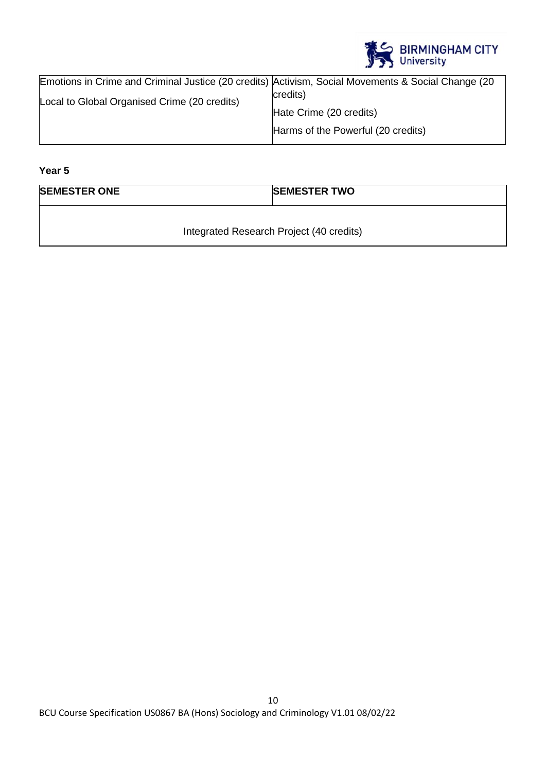

| Emotions in Crime and Criminal Justice (20 credits) Activism, Social Movements & Social Change (20 |                                    |
|----------------------------------------------------------------------------------------------------|------------------------------------|
| Local to Global Organised Crime (20 credits)                                                       | credits)                           |
|                                                                                                    | Hate Crime (20 credits)            |
|                                                                                                    | Harms of the Powerful (20 credits) |

**Year 5**

| <b>SEMESTER ONE</b> | <b>SEMESTER TWO</b> |
|---------------------|---------------------|
|                     |                     |

Integrated Research Project (40 credits)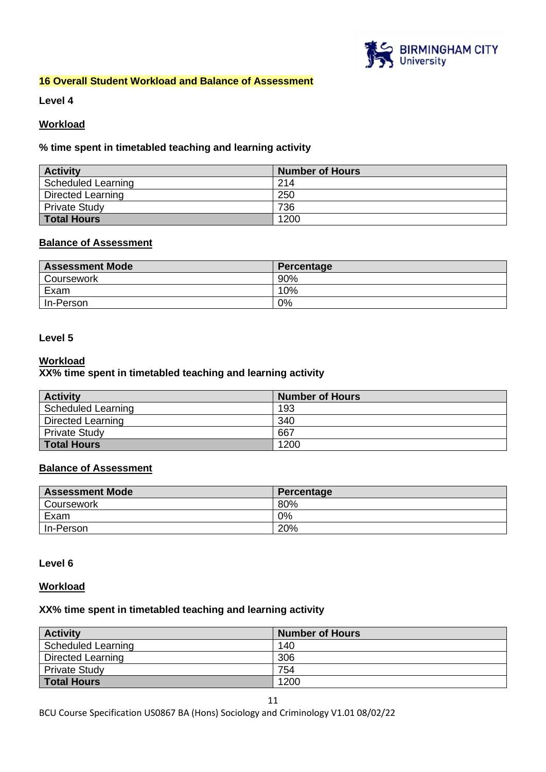

### **16 Overall Student Workload and Balance of Assessment**

**Level 4**

### **Workload**

### **% time spent in timetabled teaching and learning activity**

| <b>Activity</b>           | <b>Number of Hours</b> |
|---------------------------|------------------------|
| <b>Scheduled Learning</b> | 214                    |
| <b>Directed Learning</b>  | 250                    |
| <b>Private Study</b>      | 736                    |
| <b>Total Hours</b>        | 1200                   |

### **Balance of Assessment**

| <b>Assessment Mode</b> | Percentage |
|------------------------|------------|
| Coursework             | 90%        |
| Exam                   | 10%        |
| In-Person              | 0%         |

#### **Level 5**

### **Workload**

### **XX% time spent in timetabled teaching and learning activity**

| <b>Activity</b>          | <b>Number of Hours</b> |
|--------------------------|------------------------|
| Scheduled Learning       | 193                    |
| <b>Directed Learning</b> | 340                    |
| <b>Private Study</b>     | 667                    |
| <b>Total Hours</b>       | 1200                   |

#### **Balance of Assessment**

| <b>Assessment Mode</b> | Percentage |
|------------------------|------------|
| Coursework             | 80%        |
| Exam                   | 0%         |
| In-Person              | 20%        |

#### **Level 6**

#### **Workload**

### **XX% time spent in timetabled teaching and learning activity**

| <b>Activity</b>          | <b>Number of Hours</b> |
|--------------------------|------------------------|
| Scheduled Learning       | 140                    |
| <b>Directed Learning</b> | 306                    |
| <b>Private Study</b>     | 754                    |
| <b>Total Hours</b>       | 1200                   |